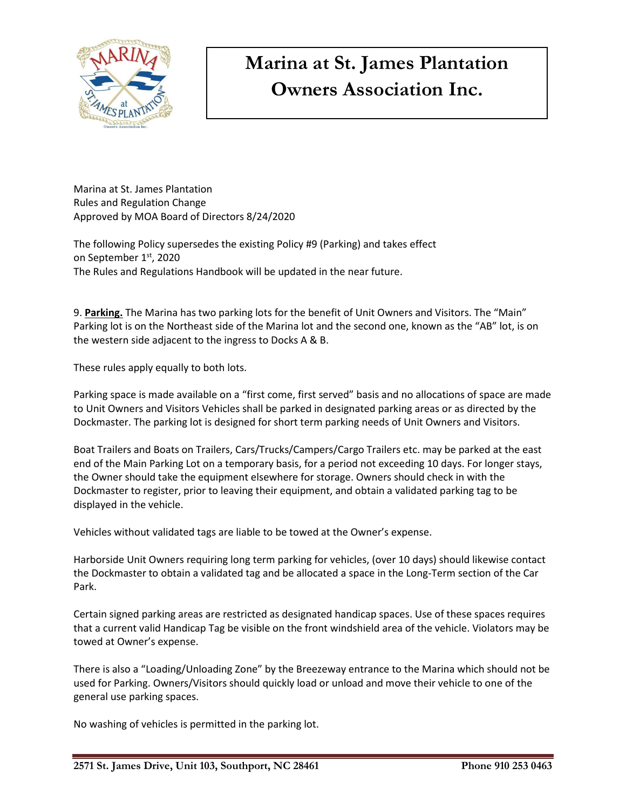

## **Marina at St. James Plantation Owners Association Inc.**

Marina at St. James Plantation Rules and Regulation Change Approved by MOA Board of Directors 8/24/2020

The following Policy supersedes the existing Policy #9 (Parking) and takes effect on September 1st, 2020 The Rules and Regulations Handbook will be updated in the near future.

9. **Parking.** The Marina has two parking lots for the benefit of Unit Owners and Visitors. The "Main" Parking lot is on the Northeast side of the Marina lot and the second one, known as the "AB" lot, is on the western side adjacent to the ingress to Docks A & B.

These rules apply equally to both lots.

Parking space is made available on a "first come, first served" basis and no allocations of space are made to Unit Owners and Visitors Vehicles shall be parked in designated parking areas or as directed by the Dockmaster. The parking lot is designed for short term parking needs of Unit Owners and Visitors.

Boat Trailers and Boats on Trailers, Cars/Trucks/Campers/Cargo Trailers etc. may be parked at the east end of the Main Parking Lot on a temporary basis, for a period not exceeding 10 days. For longer stays, the Owner should take the equipment elsewhere for storage. Owners should check in with the Dockmaster to register, prior to leaving their equipment, and obtain a validated parking tag to be displayed in the vehicle.

Vehicles without validated tags are liable to be towed at the Owner's expense.

Harborside Unit Owners requiring long term parking for vehicles, (over 10 days) should likewise contact the Dockmaster to obtain a validated tag and be allocated a space in the Long-Term section of the Car Park.

Certain signed parking areas are restricted as designated handicap spaces. Use of these spaces requires that a current valid Handicap Tag be visible on the front windshield area of the vehicle. Violators may be towed at Owner's expense.

There is also a "Loading/Unloading Zone" by the Breezeway entrance to the Marina which should not be used for Parking. Owners/Visitors should quickly load or unload and move their vehicle to one of the general use parking spaces.

No washing of vehicles is permitted in the parking lot.